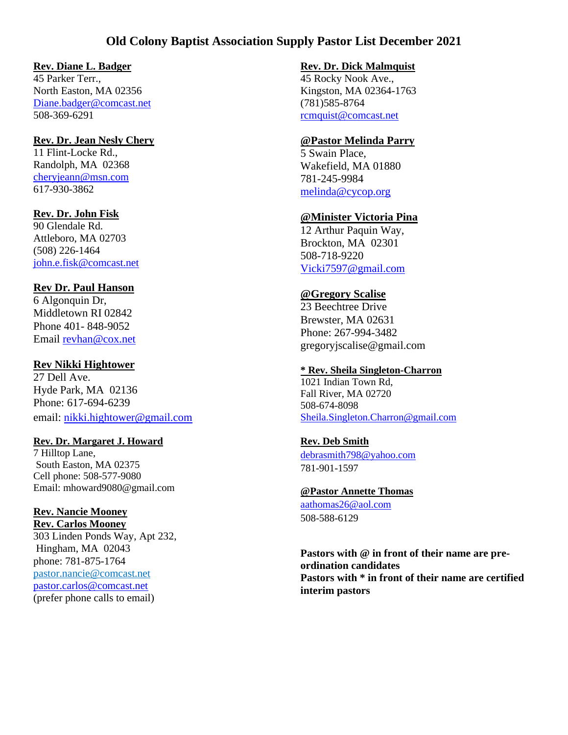# **Old Colony Baptist Association Supply Pastor List December 2021**

### **Rev. Diane L. Badger**

45 Parker Terr., North Easton, MA 02356 [Diane.badger@comcast.net](mailto:Diane.badger@comcast.net) 508-369-6291

#### **Rev. Dr. Jean Nesly Chery**

11 Flint-Locke Rd., Randolph, MA 02368 [cheryjeann@msn.com](mailto:cheryjeann@msn.com) 617-930-3862

## **Rev. Dr. John Fisk**

90 Glendale Rd. Attleboro, MA 02703 (508) 226-1464 [john.e.fisk@comcast.net](mailto:john.e.fisk@comcast.net)

#### **Rev Dr. Paul Hanson**

6 Algonquin Dr, Middletown RI 02842 Phone 401- 848-9052 Email [revhan@cox.net](mailto:revhan@cox.net)

## **Rev Nikki Hightower**

27 Dell Ave. Hyde Park, MA 02136 Phone: 617-694-6239 email: [nikki.hightower@gmail.com](mailto:nikki.hightower@gmail.com)

#### **Rev. Dr. Margaret J. Howard**

7 Hilltop Lane, South Easton, MA 02375 Cell phone: 508-577-9080 Email: mhoward9080@gmail.com

#### **Rev. Nancie Mooney Rev. Carlos Mooney**

303 Linden Ponds Way, Apt 232, Hingham, MA 02043 phone: 781-875-1764 pastor.nancie@comcast.net pastor.carlos@comcast.net (prefer phone calls to email)

#### **Rev. Dr. Dick Malmquist**

45 Rocky Nook Ave., Kingston, MA 02364-1763 (781)585-8764 [rcmquist@comcast.net](mailto:rcmquist@comcast.net)

## **@Pastor Melinda Parry**

5 Swain Place, Wakefield, MA 01880 781-245-9984 [melinda@cycop.org](mailto:melinda@cycop.org)

## **@Minister Victoria Pina**

12 Arthur Paquin Way, Brockton, MA 02301 508-718-9220 [Vicki7597@gmail.com](mailto:Vicki7597@gmail.com)

### **@Gregory Scalise**

23 Beechtree Drive Brewster, MA 02631 Phone: 267-994-3482 gregoryjscalise@gmail.com

#### **\* Rev. Sheila Singleton-Charron**

1021 Indian Town Rd, Fall River, MA 02720 508-674-8098 [Sheila.Singleton.Charron@gmail.com](mailto:Sheila.Singleton.Charron@gmail.com)

# **Rev. Deb Smith**

[debrasmith798@yahoo.com](mailto:debrasmith798@yahoo.com) 781-901-1597

**@Pastor Annette Thomas** [aathomas26@aol.com](mailto:aathomas26@aol.com) 508-588-6129

**Pastors with @ in front of their name are preordination candidates Pastors with \* in front of their name are certified interim pastors**